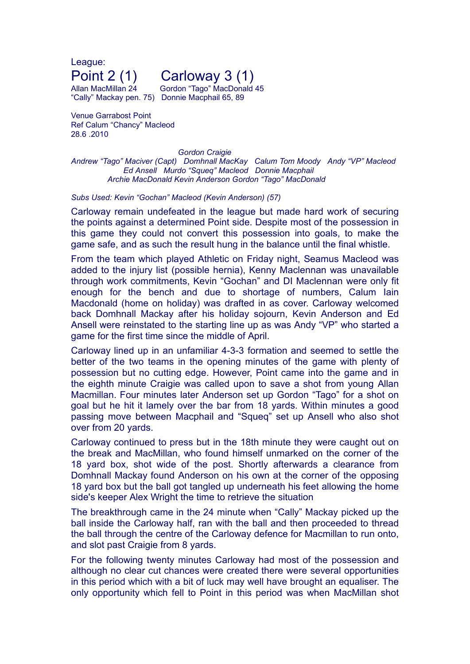League:

## Point 2 (1) Carloway 3 (1)

Allan MacMillan 24 Gordon "Tago" MacDonald 45 "Cally" Mackay pen. 75) Donnie Macphail 65, 89

Venue Garrabost Point Ref Calum "Chancy" Macleod 28.6 .2010

*Gordon Craigie Andrew "Tago" Maciver (Capt) Domhnall MacKay Calum Tom Moody Andy "VP" Macleod Ed Ansell Murdo "Squeq" Macleod Donnie Macphail Archie MacDonald Kevin Anderson Gordon "Tago" MacDonald*

## *Subs Used: Kevin "Gochan" Macleod (Kevin Anderson) (57)*

Carloway remain undefeated in the league but made hard work of securing the points against a determined Point side. Despite most of the possession in this game they could not convert this possession into goals, to make the game safe, and as such the result hung in the balance until the final whistle.

From the team which played Athletic on Friday night, Seamus Macleod was added to the injury list (possible hernia), Kenny Maclennan was unavailable through work commitments, Kevin "Gochan" and DI Maclennan were only fit enough for the bench and due to shortage of numbers, Calum Iain Macdonald (home on holiday) was drafted in as cover. Carloway welcomed back Domhnall Mackay after his holiday sojourn, Kevin Anderson and Ed Ansell were reinstated to the starting line up as was Andy "VP" who started a game for the first time since the middle of April.

Carloway lined up in an unfamiliar 4-3-3 formation and seemed to settle the better of the two teams in the opening minutes of the game with plenty of possession but no cutting edge. However, Point came into the game and in the eighth minute Craigie was called upon to save a shot from young Allan Macmillan. Four minutes later Anderson set up Gordon "Tago" for a shot on goal but he hit it lamely over the bar from 18 yards. Within minutes a good passing move between Macphail and "Squeq" set up Ansell who also shot over from 20 yards.

Carloway continued to press but in the 18th minute they were caught out on the break and MacMillan, who found himself unmarked on the corner of the 18 yard box, shot wide of the post. Shortly afterwards a clearance from Domhnall Mackay found Anderson on his own at the corner of the opposing 18 yard box but the ball got tangled up underneath his feet allowing the home side's keeper Alex Wright the time to retrieve the situation

The breakthrough came in the 24 minute when "Cally" Mackay picked up the ball inside the Carloway half, ran with the ball and then proceeded to thread the ball through the centre of the Carloway defence for Macmillan to run onto, and slot past Craigie from 8 yards.

For the following twenty minutes Carloway had most of the possession and although no clear cut chances were created there were several opportunities in this period which with a bit of luck may well have brought an equaliser. The only opportunity which fell to Point in this period was when MacMillan shot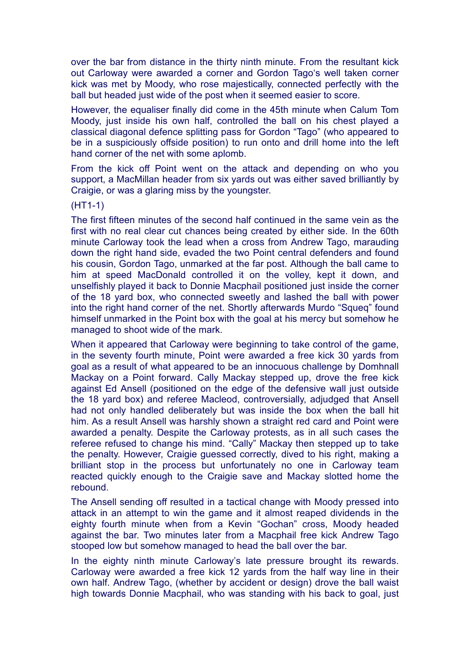over the bar from distance in the thirty ninth minute. From the resultant kick out Carloway were awarded a corner and Gordon Tago's well taken corner kick was met by Moody, who rose majestically, connected perfectly with the ball but headed just wide of the post when it seemed easier to score.

However, the equaliser finally did come in the 45th minute when Calum Tom Moody, just inside his own half, controlled the ball on his chest played a classical diagonal defence splitting pass for Gordon "Tago" (who appeared to be in a suspiciously offside position) to run onto and drill home into the left hand corner of the net with some aplomb.

From the kick off Point went on the attack and depending on who you support, a MacMillan header from six yards out was either saved brilliantly by Craigie, or was a glaring miss by the youngster.

(HT1-1)

The first fifteen minutes of the second half continued in the same vein as the first with no real clear cut chances being created by either side. In the 60th minute Carloway took the lead when a cross from Andrew Tago, marauding down the right hand side, evaded the two Point central defenders and found his cousin, Gordon Tago, unmarked at the far post. Although the ball came to him at speed MacDonald controlled it on the volley, kept it down, and unselfishly played it back to Donnie Macphail positioned just inside the corner of the 18 yard box, who connected sweetly and lashed the ball with power into the right hand corner of the net. Shortly afterwards Murdo "Squeq" found himself unmarked in the Point box with the goal at his mercy but somehow he managed to shoot wide of the mark.

When it appeared that Carloway were beginning to take control of the game, in the seventy fourth minute, Point were awarded a free kick 30 yards from goal as a result of what appeared to be an innocuous challenge by Domhnall Mackay on a Point forward. Cally Mackay stepped up, drove the free kick against Ed Ansell (positioned on the edge of the defensive wall just outside the 18 yard box) and referee Macleod, controversially, adjudged that Ansell had not only handled deliberately but was inside the box when the ball hit him. As a result Ansell was harshly shown a straight red card and Point were awarded a penalty. Despite the Carloway protests, as in all such cases the referee refused to change his mind. "Cally" Mackay then stepped up to take the penalty. However, Craigie guessed correctly, dived to his right, making a brilliant stop in the process but unfortunately no one in Carloway team reacted quickly enough to the Craigie save and Mackay slotted home the rebound.

The Ansell sending off resulted in a tactical change with Moody pressed into attack in an attempt to win the game and it almost reaped dividends in the eighty fourth minute when from a Kevin "Gochan" cross, Moody headed against the bar. Two minutes later from a Macphail free kick Andrew Tago stooped low but somehow managed to head the ball over the bar.

In the eighty ninth minute Carloway's late pressure brought its rewards. Carloway were awarded a free kick 12 yards from the half way line in their own half. Andrew Tago, (whether by accident or design) drove the ball waist high towards Donnie Macphail, who was standing with his back to goal, just